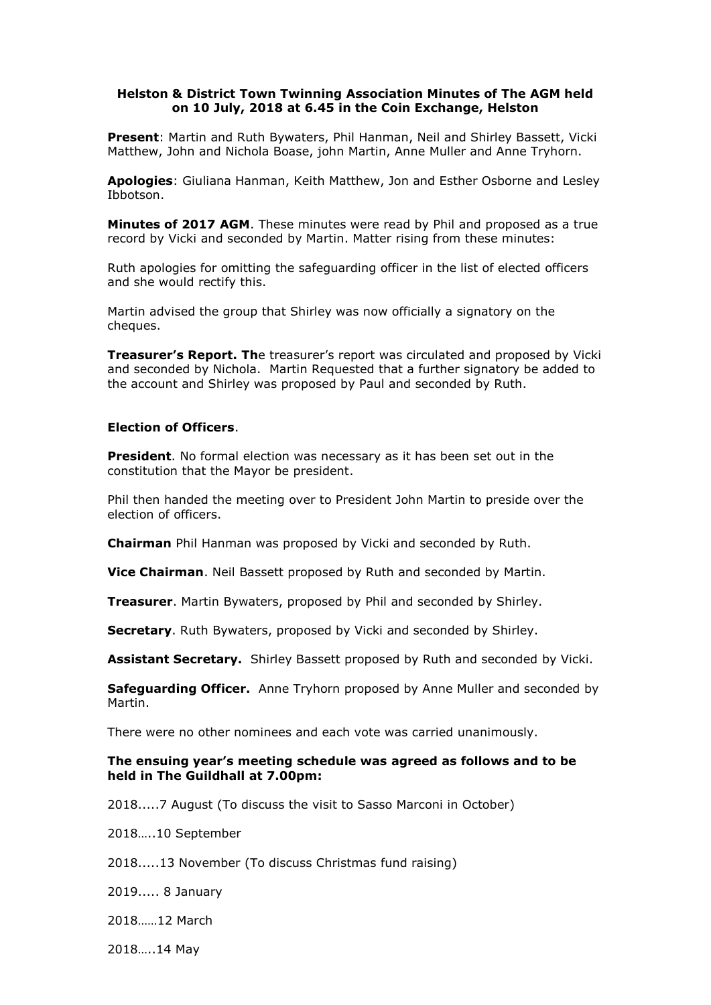## **Helston & District Town Twinning Association Minutes of The AGM held on 10 July, 2018 at 6.45 in the Coin Exchange, Helston**

**Present**: Martin and Ruth Bywaters, Phil Hanman, Neil and Shirley Bassett, Vicki Matthew, John and Nichola Boase, john Martin, Anne Muller and Anne Tryhorn.

**Apologies**: Giuliana Hanman, Keith Matthew, Jon and Esther Osborne and Lesley Ibbotson.

**Minutes of 2017 AGM**. These minutes were read by Phil and proposed as a true record by Vicki and seconded by Martin. Matter rising from these minutes:

Ruth apologies for omitting the safeguarding officer in the list of elected officers and she would rectify this.

Martin advised the group that Shirley was now officially a signatory on the cheques.

**Treasurer's Report. Th**e treasurer's report was circulated and proposed by Vicki and seconded by Nichola. Martin Requested that a further signatory be added to the account and Shirley was proposed by Paul and seconded by Ruth.

## **Election of Officers**.

**President**. No formal election was necessary as it has been set out in the constitution that the Mayor be president.

Phil then handed the meeting over to President John Martin to preside over the election of officers.

**Chairman** Phil Hanman was proposed by Vicki and seconded by Ruth.

**Vice Chairman**. Neil Bassett proposed by Ruth and seconded by Martin.

**Treasurer**. Martin Bywaters, proposed by Phil and seconded by Shirley.

**Secretary**. Ruth Bywaters, proposed by Vicki and seconded by Shirley.

**Assistant Secretary.** Shirley Bassett proposed by Ruth and seconded by Vicki.

**Safeguarding Officer.** Anne Tryhorn proposed by Anne Muller and seconded by Martin.

There were no other nominees and each vote was carried unanimously.

## **The ensuing year's meeting schedule was agreed as follows and to be held in The Guildhall at 7.00pm:**

2018.....7 August (To discuss the visit to Sasso Marconi in October)

2018…..10 September

2018.....13 November (To discuss Christmas fund raising)

2019..... 8 January

2018……12 March

2018…..14 May